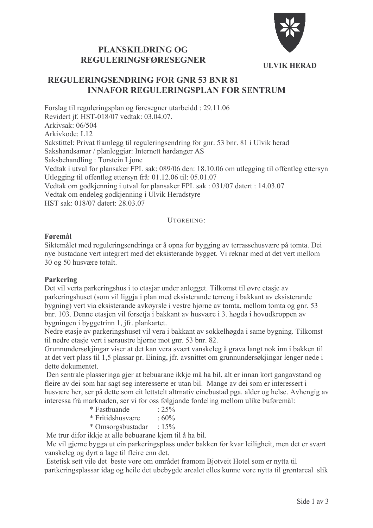

**ULVIK HERAD** 

# **PLANSKILDRING OG REGULERINGSFØRESEGNER**

# **REGULERINGSENDRING FOR GNR 53 BNR 81 INNAFOR REGULERINGSPLAN FOR SENTRUM**

Forslag til reguleringsplan og føresegner utarbeidd: 29.11.06 Revidert if. HST-018/07 vedtak: 03.04.07. Arkivsak:  $06/504$ Arkivkode: L12 Sakstittel: Privat framlegg til reguleringsendring for gnr. 53 bnr. 81 i Ulvik herad Sakshandsamar / planleggjar: Internett hardanger AS Saksbehandling: Torstein Ljone Vedtak i utval for plansaker FPL sak: 089/06 den: 18.10.06 om utlegging til offentleg ettersyn Utlegging til offentleg ettersyn frå: 01.12.06 til: 05.01.07 Vedtak om godkjenning i utval for plansaker FPL sak : 031/07 datert : 14.03.07 Vedtak om endeleg godkjenning i Ulvik Heradstyre HST sak: 018/07 datert: 28 03 07

#### UTGREIING<sup>.</sup>

## Føremål

Siktemålet med reguleringsendringa er å opna for bygging av terrassehusvære på tomta. Dei nye bustadane vert integrert med det eksisterande bygget. Vi reknar med at det vert mellom 30 og 50 husvære totalt.

# **Parkering**

Det vil verta parkeringshus i to etasjar under anlegget. Tilkomst til øvre etasje av parkeringshuset (som vil liggja i plan med eksisterande terreng i bakkant av eksisterande bygning) vert via eksisterande avkøyrsle i vestre hjørne av tomta, mellom tomta og gnr. 53 bnr. 103. Denne etasjen vil forsetja i bakkant av husvære i 3. høgda i hovudkroppen av bygningen i byggetrinn 1, jfr. plankartet.

Nedre etasje av parkeringshuset vil vera i bakkant av sokkelhøgda i same bygning. Tilkomst til nedre etasje vert i søraustre hjørne mot gnr. 53 bnr. 82.

Grunnundersøkjingar viser at det kan vera svært vanskeleg å grava langt nok inn i bakken til at det vert plass til 1,5 plassar pr. Eining, jfr. avsnittet om grunnundersøkjingar lenger nede i dette dokumentet.

Den sentrale plasseringa gier at bebuarane ikkie må ha bil, alt er innan kort gangavstand og fleire av dei som har sagt seg interesserte er utan bil. Mange av dei som er interessert i husvære her, ser på dette som eit lettstelt altrnativ einebustad pga. alder og helse. Avhengig av interessa frå marknaden, ser vi for oss følgjande fordeling mellom ulike buføremål:

- $\frac{1}{25\%}$ \* Fastbuande
- \* Fritidshusvære  $.60\%$
- \* Omsorgsbustadar : 15%

Me trur difor ikkje at alle bebuarane kjem til å ha bil.

Me vil gjerne bygga ut ein parkeringsplass under bakken for kvar leiligheit, men det er svært vanskeleg og dyrt å lage til fleire enn det.

Estetisk sett vile det beste vore om området framom Bjotveit Hotel som er nytta til partkeringsplassar idag og heile det ubebygde arealet elles kunne vore nytta til grøntareal slik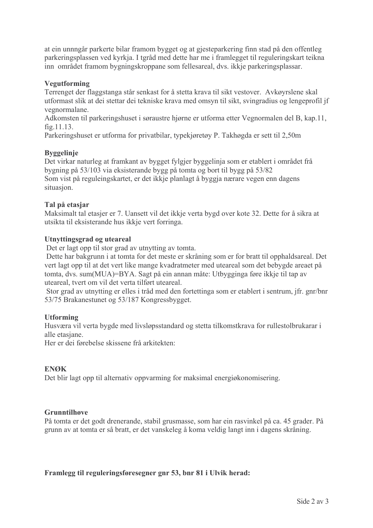at ein unnngår parkerte bilar framom bygget og at gjesteparkering finn stad på den offentleg parkeringsplassen ved kyrkja. I tgråd med dette har me i framlegget til reguleringskart teikna inn området framom bygningskroppane som fellesareal, dvs. ikkje parkeringsplassar.

# Vegutforming

Terrenget der flaggstanga står senkast for å stetta krava til sikt vestover. Avkøyrslene skal utformast slik at dei stettar dei tekniske krava med omsyn til sikt, svingradius og lengeprofil jf vegnormalane.

Adkomsten til parkeringshuset i søraustre hjørne er utforma etter Vegnormalen del B, kap.11,  $fig.11.13.$ 

Parkeringshuset er utforma for privatbilar, typekjøretøy P. Takhøgda er sett til 2.50m

## **Byggelinie**

Det virkar naturleg at framkant av bygget fylgjer byggelinja som er etablert i området frå bygning på 53/103 via eksisterande bygg på tomta og bort til bygg på 53/82 Som vist på reguleingskartet, er det ikkje planlagt å byggja nærare vegen enn dagens situasjon.

## Tal på etasjar

Maksimalt tal etasjer er 7. Uansett vil det ikkje verta bygd over kote 32. Dette for å sikra at utsikta til eksisterande hus ikkje vert forringa.

## Utnyttingsgrad og uteareal

Det er lagt opp til stor grad av utnytting av tomta.

Dette har bakgrunn i at tomta for det meste er skråning som er for bratt til opphaldsareal. Det vert lagt opp til at det vert like mange kvadratmeter med uteareal som det bebygde areaet på tomta, dvs. sum(MUA)=BYA. Sagt på ein annan måte: Utbygginga føre ikkje til tap av uteareal, tvert om vil det verta tilført uteareal.

Stor grad av utnytting er elles i tråd med den fortettinga som er etablert i sentrum, jfr. gnr/bnr 53/75 Brakanestunet og 53/187 Kongressbygget.

#### **Utforming**

Husværa vil verta bygde med livsløpsstandard og stetta tilkomstkrava for rullestolbrukarar i alle etasiane

Her er dei førebelse skissene frå arkitekten:

#### **ENØK**

Det blir lagt opp til alternativ oppvarming for maksimal energiøkonomisering.

#### Grunntilhave

På tomta er det godt drenerande, stabil grusmasse, som har ein rasvinkel på ca. 45 grader. På grunn av at tomta er så bratt, er det vanskeleg å koma veldig langt inn i dagens skråning.

Framlegg til reguleringsføresegner gnr 53, bnr 81 i Ulvik herad: